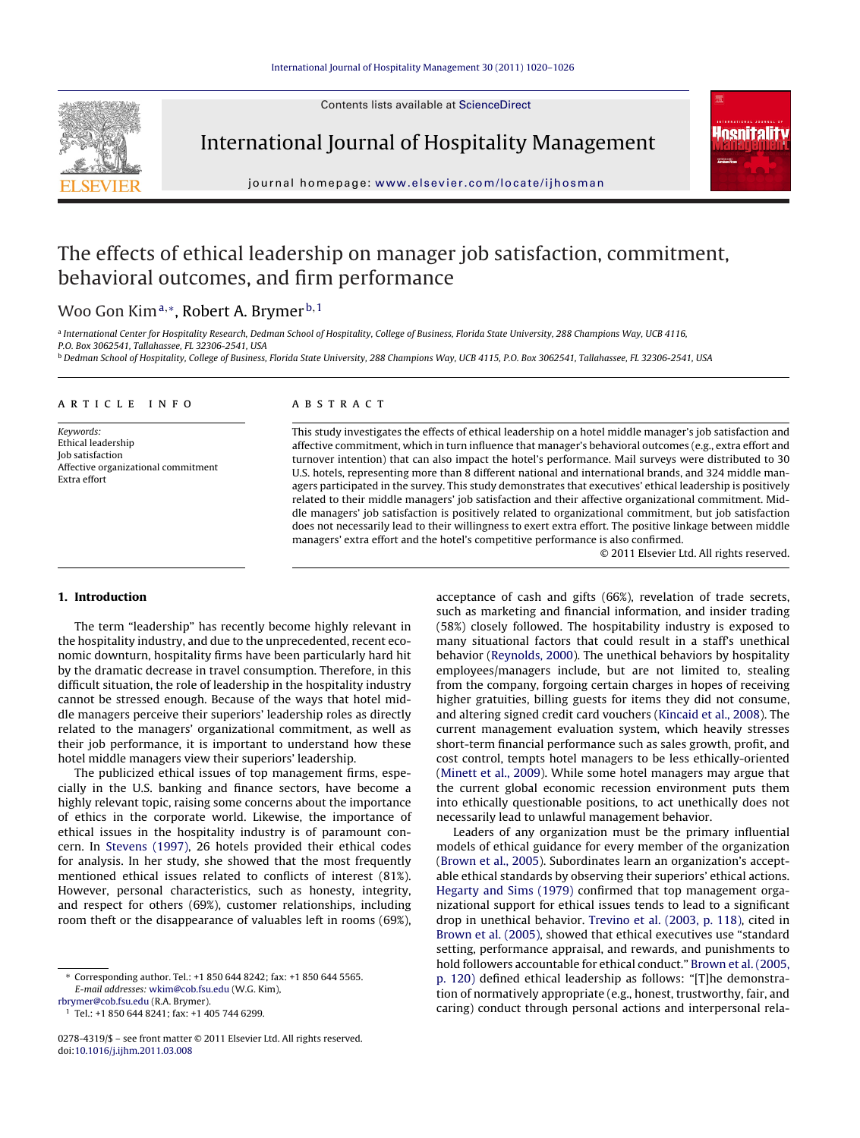Contents lists available at [ScienceDirect](http://www.sciencedirect.com/science/journal/02784319)



International Journal of Hospitality Management



iournal homepage: www.elsevier.com/locate/iihosman

## The effects of ethical leadership on manager job satisfaction, commitment, behavioral outcomes, and firm performance

### Woo Gon Kim<sup>a,∗</sup>, Robert A. Brymer<sup>b,1</sup>

a International Center for Hospitality Research, Dedman School of Hospitality, College of Business, Florida State University, 288 Champions Way, UCB 4116, P.O. Box 3062541, Tallahassee, FL 32306-2541, USA <sup>b</sup> Dedman School of Hospitality, College of Business, Florida State University, 288 Champions Way, UCB 4115, P.O. Box 3062541, Tallahassee, FL 32306-2541, USA

#### a r t i c l e i n f o

Keywords: Ethical leadership Job satisfaction Affective organizational commitment Extra effort

#### A B S T R A C T

This study investigates the effects of ethical leadership on a hotel middle manager's job satisfaction and affective commitment, which in turn influence that manager's behavioral outcomes (e.g., extra effort and turnover intention) that can also impact the hotel's performance. Mail surveys were distributed to 30 U.S. hotels, representing more than 8 different national and international brands, and 324 middle managers participated in the survey. This study demonstrates that executives' ethical leadership is positively related to their middle managers' job satisfaction and their affective organizational commitment. Middle managers' job satisfaction is positively related to organizational commitment, but job satisfaction does not necessarily lead to their willingness to exert extra effort. The positive linkage between middle managers' extra effort and the hotel's competitive performance is also confirmed.

© 2011 Elsevier Ltd. All rights reserved.

#### **1. Introduction**

The term "leadership" has recently become highly relevant in the hospitality industry, and due to the unprecedented, recent economic downturn, hospitality firms have been particularly hard hit by the dramatic decrease in travel consumption. Therefore, in this difficult situation, the role of leadership in the hospitality industry cannot be stressed enough. Because of the ways that hotel middle managers perceive their superiors' leadership roles as directly related to the managers' organizational commitment, as well as their job performance, it is important to understand how these hotel middle managers view their superiors' leadership.

The publicized ethical issues of top management firms, especially in the U.S. banking and finance sectors, have become a highly relevant topic, raising some concerns about the importance of ethics in the corporate world. Likewise, the importance of ethical issues in the hospitality industry is of paramount concern. In [Stevens](#page--1-0) [\(1997\),](#page--1-0) 26 hotels provided their ethical codes for analysis. In her study, she showed that the most frequently mentioned ethical issues related to conflicts of interest (81%). However, personal characteristics, such as honesty, integrity, and respect for others (69%), customer relationships, including room theft or the disappearance of valuables left in rooms (69%), acceptance of cash and gifts (66%), revelation of trade secrets, such as marketing and financial information, and insider trading (58%) closely followed. The hospitability industry is exposed to many situational factors that could result in a staff's unethical behavior [\(Reynolds,](#page--1-0) [2000\).](#page--1-0) The unethical behaviors by hospitality employees/managers include, but are not limited to, stealing from the company, forgoing certain charges in hopes of receiving higher gratuities, billing guests for items they did not consume, and altering signed credit card vouchers [\(Kincaid](#page--1-0) et [al.,](#page--1-0) [2008\).](#page--1-0) The current management evaluation system, which heavily stresses short-term financial performance such as sales growth, profit, and cost control, tempts hotel managers to be less ethically-oriented [\(Minett](#page--1-0) et [al.,](#page--1-0) [2009\).](#page--1-0) While some hotel managers may argue that the current global economic recession environment puts them into ethically questionable positions, to act unethically does not necessarily lead to unlawful management behavior.

Leaders of any organization must be the primary influential models of ethical guidance for every member of the organization [\(Brown](#page--1-0) et [al.,](#page--1-0) [2005\).](#page--1-0) Subordinates learn an organization's acceptable ethical standards by observing their superiors' ethical actions. [Hegarty](#page--1-0) [and](#page--1-0) [Sims](#page--1-0) [\(1979\)](#page--1-0) confirmed that top management organizational support for ethical issues tends to lead to a significant drop in unethical behavior. [Trevino](#page--1-0) et [al.](#page--1-0) [\(2003,](#page--1-0) [p.](#page--1-0) [118\),](#page--1-0) cited in [Brown](#page--1-0) et [al.](#page--1-0) [\(2005\),](#page--1-0) showed that ethical executives use "standard setting, performance appraisal, and rewards, and punishments to hold followers accountable for ethical conduct." [Brown](#page--1-0) et [al.](#page--1-0) [\(2005,](#page--1-0) [p.](#page--1-0) [120\)](#page--1-0) defined ethical leadership as follows: "[T]he demonstration of normatively appropriate (e.g., honest, trustworthy, fair, and caring) conduct through personal actions and interpersonal rela-

<sup>∗</sup> Corresponding author. Tel.: +1 850 644 8242; fax: +1 850 644 5565. E-mail addresses: [wkim@cob.fsu.edu](mailto:wkim@cob.fsu.edu) (W.G. Kim),

[rbrymer@cob.fsu.edu](mailto:rbrymer@cob.fsu.edu) (R.A. Brymer).

<sup>1</sup> Tel.: +1 850 644 8241; fax: +1 405 744 6299.

<sup>0278-4319/\$</sup> – see front matter © 2011 Elsevier Ltd. All rights reserved. doi:[10.1016/j.ijhm.2011.03.008](dx.doi.org/10.1016/j.ijhm.2011.03.008)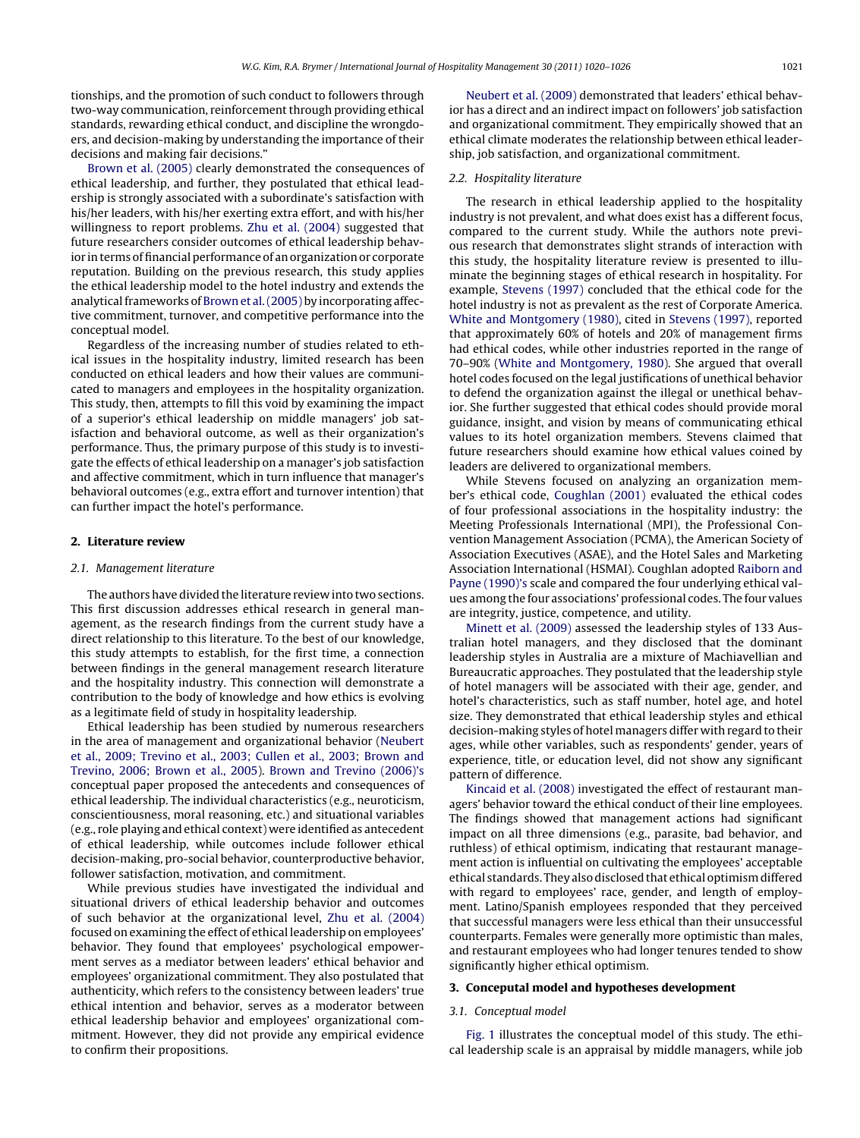tionships, and the promotion of such conduct to followers through two-way communication, reinforcement through providing ethical standards, rewarding ethical conduct, and discipline the wrongdoers, and decision-making by understanding the importance of their decisions and making fair decisions."

[Brown](#page--1-0) et [al.](#page--1-0) [\(2005\)](#page--1-0) clearly demonstrated the consequences of ethical leadership, and further, they postulated that ethical leadership is strongly associated with a subordinate's satisfaction with his/her leaders, with his/her exerting extra effort, and with his/her willingness to report problems. [Zhu](#page--1-0) et [al.](#page--1-0) [\(2004\)](#page--1-0) suggested that future researchers consider outcomes of ethical leadership behavior in terms of financial performance of an organization or corporate reputation. Building on the previous research, this study applies the ethical leadership model to the hotel industry and extends the analytical frameworks of [Brown](#page--1-0) et al. (2005) by incorporating affective commitment, turnover, and competitive performance into the conceptual model.

Regardless of the increasing number of studies related to ethical issues in the hospitality industry, limited research has been conducted on ethical leaders and how their values are communicated to managers and employees in the hospitality organization. This study, then, attempts to fill this void by examining the impact of a superior's ethical leadership on middle managers' job satisfaction and behavioral outcome, as well as their organization's performance. Thus, the primary purpose of this study is to investigate the effects of ethical leadership on a manager's job satisfaction and affective commitment, which in turn influence that manager's behavioral outcomes (e.g., extra effort and turnover intention) that can further impact the hotel's performance.

#### **2. Literature review**

#### 2.1. Management literature

The authors have divided the literature review into two sections. This first discussion addresses ethical research in general management, as the research findings from the current study have a direct relationship to this literature. To the best of our knowledge, this study attempts to establish, for the first time, a connection between findings in the general management research literature and the hospitality industry. This connection will demonstrate a contribution to the body of knowledge and how ethics is evolving as a legitimate field of study in hospitality leadership.

Ethical leadership has been studied by numerous researchers in the area of management and organizational behavior [\(Neubert](#page--1-0) et [al.,](#page--1-0) [2009;](#page--1-0) [Trevino](#page--1-0) et [al.,](#page--1-0) [2003;](#page--1-0) [Cullen](#page--1-0) et [al.,](#page--1-0) [2003;](#page--1-0) [Brown](#page--1-0) [and](#page--1-0) [Trevino,](#page--1-0) [2006;](#page--1-0) [Brown](#page--1-0) et [al.,](#page--1-0) [2005\).](#page--1-0) [Brown](#page--1-0) [and](#page--1-0) [Trevino](#page--1-0) [\(2006\)'s](#page--1-0) conceptual paper proposed the antecedents and consequences of ethical leadership. The individual characteristics (e.g., neuroticism, conscientiousness, moral reasoning, etc.) and situational variables (e.g., role playing and ethical context) were identified as antecedent of ethical leadership, while outcomes include follower ethical decision-making, pro-social behavior, counterproductive behavior, follower satisfaction, motivation, and commitment.

While previous studies have investigated the individual and situational drivers of ethical leadership behavior and outcomes of such behavior at the organizational level, [Zhu](#page--1-0) et [al.](#page--1-0) [\(2004\)](#page--1-0) focused on examining the effect of ethical leadership on employees' behavior. They found that employees' psychological empowerment serves as a mediator between leaders' ethical behavior and employees' organizational commitment. They also postulated that authenticity, which refers to the consistency between leaders' true ethical intention and behavior, serves as a moderator between ethical leadership behavior and employees' organizational commitment. However, they did not provide any empirical evidence to confirm their propositions.

[Neubert](#page--1-0) et [al.](#page--1-0) [\(2009\)](#page--1-0) demonstrated that leaders' ethical behavior has a direct and an indirect impact on followers' job satisfaction and organizational commitment. They empirically showed that an ethical climate moderates the relationship between ethical leadership, job satisfaction, and organizational commitment.

#### 2.2. Hospitality literature

The research in ethical leadership applied to the hospitality industry is not prevalent, and what does exist has a different focus, compared to the current study. While the authors note previous research that demonstrates slight strands of interaction with this study, the hospitality literature review is presented to illuminate the beginning stages of ethical research in hospitality. For example, [Stevens](#page--1-0) [\(1997\)](#page--1-0) concluded that the ethical code for the hotel industry is not as prevalent as the rest of Corporate America. [White](#page--1-0) [and](#page--1-0) [Montgomery](#page--1-0) [\(1980\),](#page--1-0) cited in [Stevens](#page--1-0) [\(1997\),](#page--1-0) reported that approximately 60% of hotels and 20% of management firms had ethical codes, while other industries reported in the range of 70–90% ([White](#page--1-0) [and](#page--1-0) [Montgomery,](#page--1-0) [1980\).](#page--1-0) She argued that overall hotel codes focused on the legal justifications of unethical behavior to defend the organization against the illegal or unethical behavior. She further suggested that ethical codes should provide moral guidance, insight, and vision by means of communicating ethical values to its hotel organization members. Stevens claimed that future researchers should examine how ethical values coined by leaders are delivered to organizational members.

While Stevens focused on analyzing an organization member's ethical code, [Coughlan](#page--1-0) [\(2001\)](#page--1-0) evaluated the ethical codes of four professional associations in the hospitality industry: the Meeting Professionals International (MPI), the Professional Convention Management Association (PCMA), the American Society of Association Executives (ASAE), and the Hotel Sales and Marketing Association International (HSMAI). Coughlan adopted [Raiborn](#page--1-0) [and](#page--1-0) [Payne](#page--1-0) [\(1990\)'s](#page--1-0) scale and compared the four underlying ethical values among the four associations' professional codes. The four values are integrity, justice, competence, and utility.

[Minett](#page--1-0) et [al.](#page--1-0) [\(2009\)](#page--1-0) assessed the leadership styles of 133 Australian hotel managers, and they disclosed that the dominant leadership styles in Australia are a mixture of Machiavellian and Bureaucratic approaches. They postulated that the leadership style of hotel managers will be associated with their age, gender, and hotel's characteristics, such as staff number, hotel age, and hotel size. They demonstrated that ethical leadership styles and ethical decision-making styles of hotel managers differ with regard to their ages, while other variables, such as respondents' gender, years of experience, title, or education level, did not show any significant pattern of difference.

[Kincaid](#page--1-0) et [al.](#page--1-0) [\(2008\)](#page--1-0) investigated the effect of restaurant managers' behavior toward the ethical conduct of their line employees. The findings showed that management actions had significant impact on all three dimensions (e.g., parasite, bad behavior, and ruthless) of ethical optimism, indicating that restaurant management action is influential on cultivating the employees' acceptable ethical standards. They alsodisclosedthat ethical optimismdiffered with regard to employees' race, gender, and length of employment. Latino/Spanish employees responded that they perceived that successful managers were less ethical than their unsuccessful counterparts. Females were generally more optimistic than males, and restaurant employees who had longer tenures tended to show significantly higher ethical optimism.

#### **3. Conceputal model and hypotheses development**

#### 3.1. Conceptual model

[Fig.](#page--1-0) 1 illustrates the conceptual model of this study. The ethical leadership scale is an appraisal by middle managers, while job